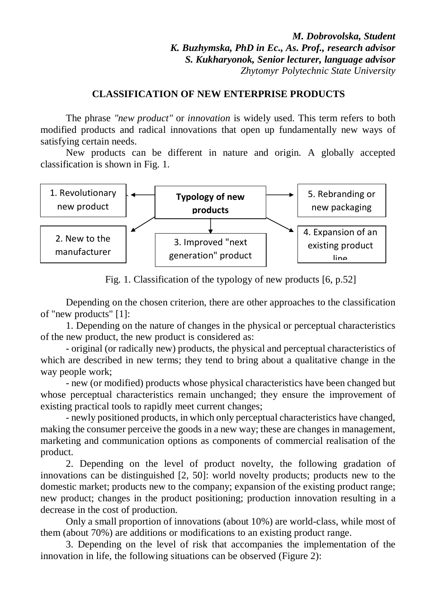*M. Dobrovolska, Student K. Buzhymska, PhD in Ec., As. Prof., research advisor S. Kukharyonok, Senior lecturer, language advisor Zhytomyr Polytechnic State University*

## **CLASSIFICATION OF NEW ENTERPRISE PRODUCTS**

The phrase *"new product"* or *innovation* is widely used. This term refers to both modified products and radical innovations that open up fundamentally new ways of satisfying certain needs.

New products can be different in nature and origin. A globally accepted classification is shown in Fig. 1.



Fig. 1. Classification of the typology of new products [6, p.52]

Depending on the chosen criterion, there are other approaches to the classification of "new products" [1]:

1. Depending on the nature of changes in the physical or perceptual characteristics of the new product, the new product is considered as:

- original (or radically new) products, the physical and perceptual characteristics of which are described in new terms; they tend to bring about a qualitative change in the way people work;

- new (or modified) products whose physical characteristics have been changed but whose perceptual characteristics remain unchanged; they ensure the improvement of existing practical tools to rapidly meet current changes;

- newly positioned products, in which only perceptual characteristics have changed, making the consumer perceive the goods in a new way; these are changes in management, marketing and communication options as components of commercial realisation of the product.

2. Depending on the level of product novelty, the following gradation of innovations can be distinguished [2, 50]: world novelty products; products new to the domestic market; products new to the company; expansion of the existing product range; new product; changes in the product positioning; production innovation resulting in a decrease in the cost of production.

Only a small proportion of innovations (about 10%) are world-class, while most of them (about 70%) are additions or modifications to an existing product range.

3. Depending on the level of risk that accompanies the implementation of the innovation in life, the following situations can be observed (Figure 2):